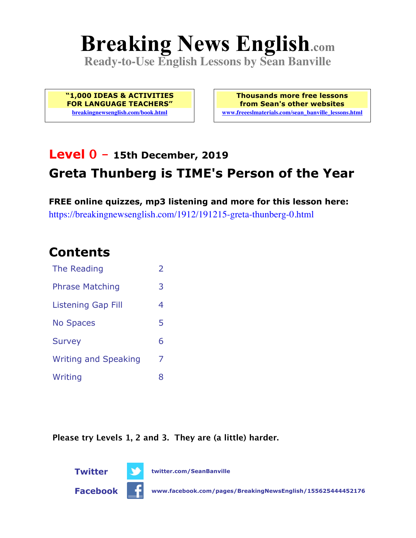# **Breaking News English.com**

**Ready-to-Use English Lessons by Sean Banville**

**"1,000 IDEAS & ACTIVITIES FOR LANGUAGE TEACHERS" breakingnewsenglish.com/book.html**

**Thousands more free lessons from Sean's other websites www.freeeslmaterials.com/sean\_banville\_lessons.html**

# **Level 0 - 15th December, 2019 Greta Thunberg is TIME's Person of the Year**

**FREE online quizzes, mp3 listening and more for this lesson here:** https://breakingnewsenglish.com/1912/191215-greta-thunberg-0.html

### **Contents**

| The Reading                 | $\overline{\phantom{a}}$ |
|-----------------------------|--------------------------|
| <b>Phrase Matching</b>      | 3                        |
| Listening Gap Fill          | 4                        |
| <b>No Spaces</b>            | 5                        |
| <b>Survey</b>               | 6                        |
| <b>Writing and Speaking</b> | 7                        |
| Writing                     | 8                        |

**Please try Levels 1, 2 and 3. They are (a little) harder.**



**Twitter twitter.com/SeanBanville**

**Facebook www.facebook.com/pages/BreakingNewsEnglish/155625444452176**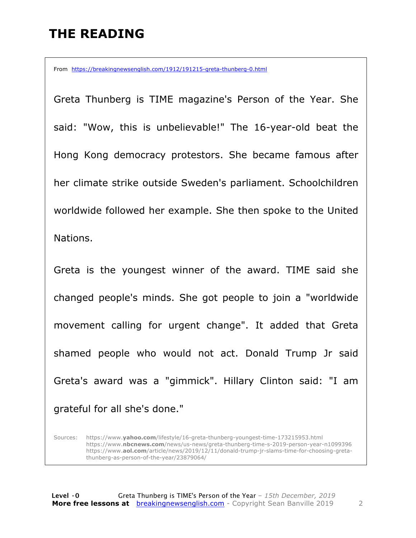### **THE READING**

From https://breakingnewsenglish.com/1912/191215-greta-thunberg-0.html

Greta Thunberg is TIME magazine's Person of the Year. She said: "Wow, this is unbelievable!" The 16-year-old beat the Hong Kong democracy protestors. She became famous after her climate strike outside Sweden's parliament. Schoolchildren worldwide followed her example. She then spoke to the United Nations.

Greta is the youngest winner of the award. TIME said she changed people's minds. She got people to join a "worldwide movement calling for urgent change". It added that Greta shamed people who would not act. Donald Trump Jr said Greta's award was a "gimmick". Hillary Clinton said: "I am grateful for all she's done."

Sources: https://www.**yahoo.com**/lifestyle/16-greta-thunberg-youngest-time-173215953.html https://www.**nbcnews.com**/news/us-news/greta-thunberg-time-s-2019-person-year-n1099396 https://www.**aol.com**/article/news/2019/12/11/donald-trump-jr-slams-time-for-choosing-gretathunberg-as-person-of-the-year/23879064/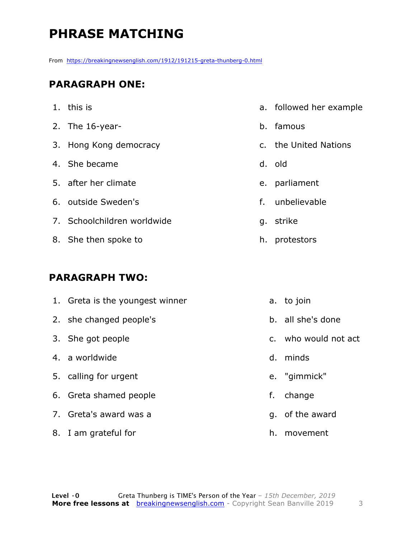# **PHRASE MATCHING**

From https://breakingnewsenglish.com/1912/191215-greta-thunberg-0.html

#### **PARAGRAPH ONE:**

- 1. this is
- 2. The 16-year-
- 3. Hong Kong democracy
- 4. She became
- 5. after her climate
- 6. outside Sweden's
- 7. Schoolchildren worldwide
- 8. She then spoke to

#### **PARAGRAPH TWO:**

8. I am grateful for

- a. followed her example
- b. famous
- c. the United Nations
- d. old
- e. parliament
- f. unbelievable
- g. strike
- h. protestors
- 1. Greta is the youngest winner 2. she changed people's 3. She got people 4. a worldwide 5. calling for urgent 6. Greta shamed people 7. Greta's award was a a. to join b. all she's done c. who would not act d. minds e. "gimmick" f. change g. of the award
	- h. movement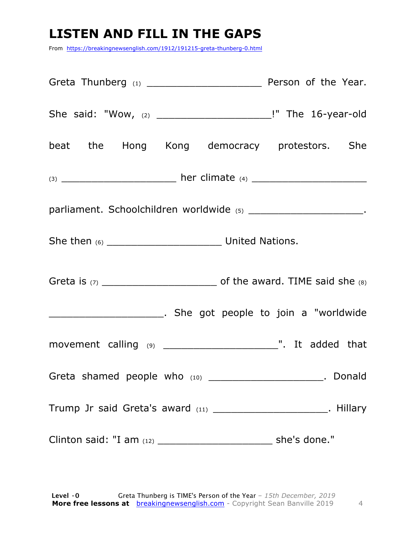# **LISTEN AND FILL IN THE GAPS**

From https://breakingnewsenglish.com/1912/191215-greta-thunberg-0.html

| beat the Hong Kong democracy protestors. She                        |              |
|---------------------------------------------------------------------|--------------|
|                                                                     |              |
| parliament. Schoolchildren worldwide (5) _________________________. |              |
|                                                                     |              |
|                                                                     |              |
|                                                                     |              |
|                                                                     |              |
| Greta shamed people who (10) _________________________. Donald      |              |
| Trump Jr said Greta's award (11) _______________________. Hillary   |              |
|                                                                     | she's done." |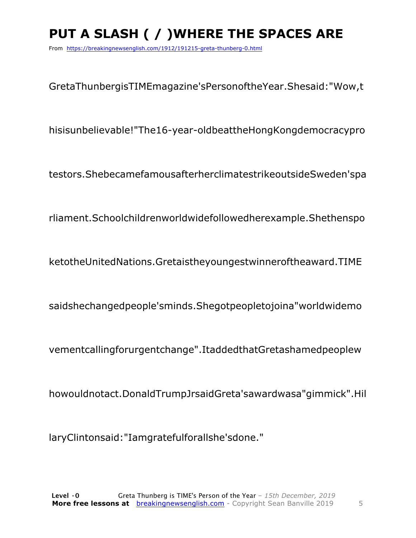# **PUT A SLASH ( / )WHERE THE SPACES ARE**

From https://breakingnewsenglish.com/1912/191215-greta-thunberg-0.html

GretaThunbergisTIMEmagazine'sPersonoftheYear.Shesaid:"Wow,t

hisisunbelievable!"The16-year-oldbeattheHongKongdemocracypro

testors.ShebecamefamousafterherclimatestrikeoutsideSweden'spa

rliament.Schoolchildrenworldwidefollowedherexample.Shethenspo

ketotheUnitedNations.Gretaistheyoungestwinneroftheaward.TIME

saidshechangedpeople'sminds.Shegotpeopletojoina"worldwidemo

vementcallingforurgentchange".ItaddedthatGretashamedpeoplew

howouldnotact.DonaldTrumpJrsaidGreta'sawardwasa"gimmick".Hil

laryClintonsaid:"Iamgratefulforallshe'sdone."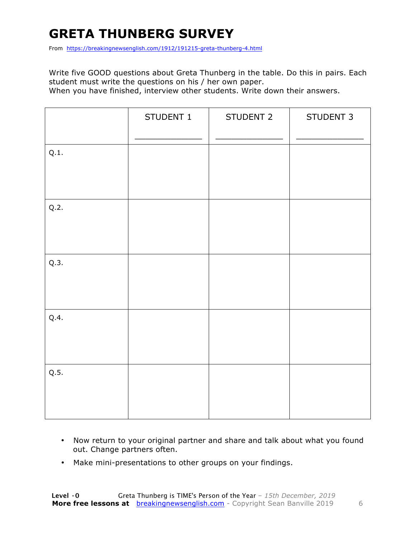### **GRETA THUNBERG SURVEY**

From https://breakingnewsenglish.com/1912/191215-greta-thunberg-4.html

Write five GOOD questions about Greta Thunberg in the table. Do this in pairs. Each student must write the questions on his / her own paper.

When you have finished, interview other students. Write down their answers.

|      | STUDENT 1 | STUDENT 2 | STUDENT 3 |
|------|-----------|-----------|-----------|
| Q.1. |           |           |           |
| Q.2. |           |           |           |
| Q.3. |           |           |           |
| Q.4. |           |           |           |
| Q.5. |           |           |           |

- Now return to your original partner and share and talk about what you found out. Change partners often.
- Make mini-presentations to other groups on your findings.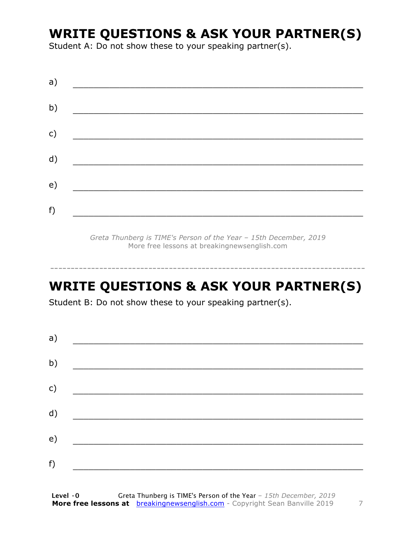### **WRITE QUESTIONS & ASK YOUR PARTNER(S)**

Student A: Do not show these to your speaking partner(s).

*Greta Thunberg is TIME's Person of the Year – 15th December, 2019* More free lessons at breakingnewsenglish.com

### **WRITE QUESTIONS & ASK YOUR PARTNER(S)**

-----------------------------------------------------------------------------

Student B: Do not show these to your speaking partner(s).

| a) |  |  |
|----|--|--|
| b) |  |  |
| c) |  |  |
| d) |  |  |
| e) |  |  |
| f) |  |  |
|    |  |  |